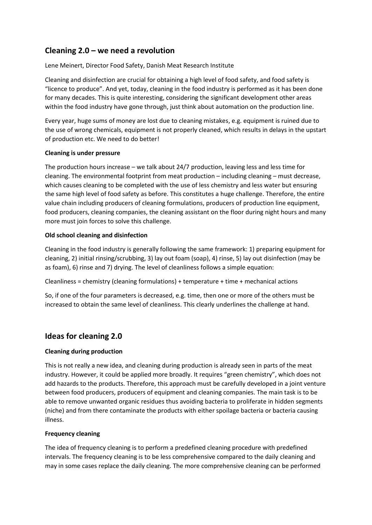# **Cleaning 2.0 – we need a revolution**

Lene Meinert, Director Food Safety, Danish Meat Research Institute

Cleaning and disinfection are crucial for obtaining a high level of food safety, and food safety is "licence to produce". And yet, today, cleaning in the food industry is performed as it has been done for many decades. This is quite interesting, considering the significant development other areas within the food industry have gone through, just think about automation on the production line.

Every year, huge sums of money are lost due to cleaning mistakes, e.g. equipment is ruined due to the use of wrong chemicals, equipment is not properly cleaned, which results in delays in the upstart of production etc. We need to do better!

## **Cleaning is under pressure**

The production hours increase – we talk about 24/7 production, leaving less and less time for cleaning. The environmental footprint from meat production – including cleaning – must decrease, which causes cleaning to be completed with the use of less chemistry and less water but ensuring the same high level of food safety as before. This constitutes a huge challenge. Therefore, the entire value chain including producers of cleaning formulations, producers of production line equipment, food producers, cleaning companies, the cleaning assistant on the floor during night hours and many more must join forces to solve this challenge.

## **Old school cleaning and disinfection**

Cleaning in the food industry is generally following the same framework: 1) preparing equipment for cleaning, 2) initial rinsing/scrubbing, 3) lay out foam (soap), 4) rinse, 5) lay out disinfection (may be as foam), 6) rinse and 7) drying. The level of cleanliness follows a simple equation:

Cleanliness = chemistry (cleaning formulations) + temperature + time + mechanical actions

So, if one of the four parameters is decreased, e.g. time, then one or more of the others must be increased to obtain the same level of cleanliness. This clearly underlines the challenge at hand.

## **Ideas for cleaning 2.0**

## **Cleaning during production**

This is not really a new idea, and cleaning during production is already seen in parts of the meat industry. However, it could be applied more broadly. It requires "green chemistry", which does not add hazards to the products. Therefore, this approach must be carefully developed in a joint venture between food producers, producers of equipment and cleaning companies. The main task is to be able to remove unwanted organic residues thus avoiding bacteria to proliferate in hidden segments (niche) and from there contaminate the products with either spoilage bacteria or bacteria causing illness.

### **Frequency cleaning**

The idea of frequency cleaning is to perform a predefined cleaning procedure with predefined intervals. The frequency cleaning is to be less comprehensive compared to the daily cleaning and may in some cases replace the daily cleaning. The more comprehensive cleaning can be performed